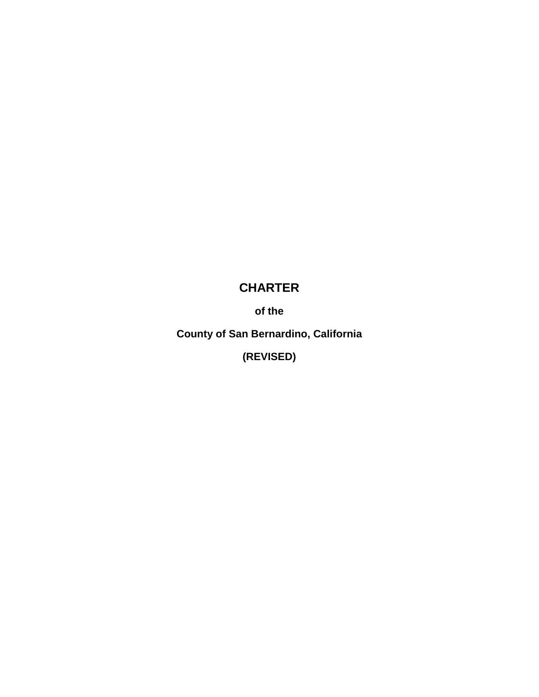# **CHARTER**

**of the**

**County of San Bernardino, California**

**(REVISED)**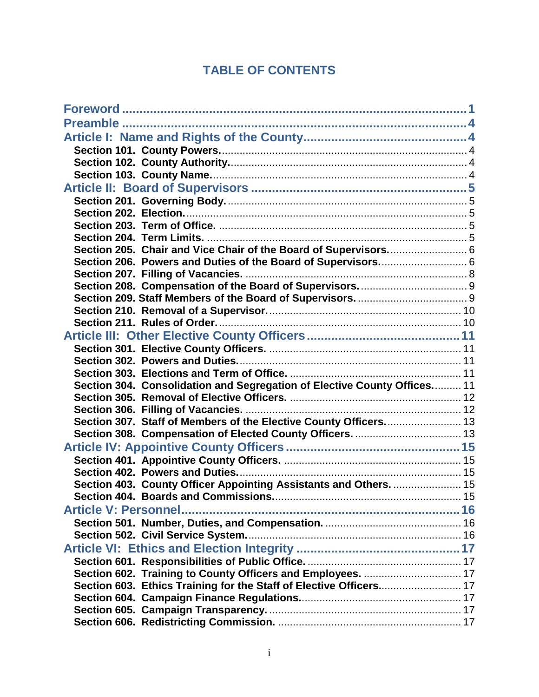## **TABLE OF CONTENTS**

| Section 205. Chair and Vice Chair of the Board of Supervisors 6          |  |
|--------------------------------------------------------------------------|--|
| Section 206. Powers and Duties of the Board of Supervisors 6             |  |
|                                                                          |  |
|                                                                          |  |
|                                                                          |  |
|                                                                          |  |
|                                                                          |  |
|                                                                          |  |
|                                                                          |  |
|                                                                          |  |
|                                                                          |  |
| Section 304. Consolidation and Segregation of Elective County Offices 11 |  |
|                                                                          |  |
|                                                                          |  |
| Section 307. Staff of Members of the Elective County Officers 13         |  |
| Section 308. Compensation of Elected County Officers.  13                |  |
|                                                                          |  |
|                                                                          |  |
|                                                                          |  |
| Section 403. County Officer Appointing Assistants and Others.  15        |  |
|                                                                          |  |
|                                                                          |  |
|                                                                          |  |
|                                                                          |  |
|                                                                          |  |
|                                                                          |  |
| Section 602. Training to County Officers and Employees.  17              |  |
| Section 603. Ethics Training for the Staff of Elective Officers 17       |  |
|                                                                          |  |
|                                                                          |  |
|                                                                          |  |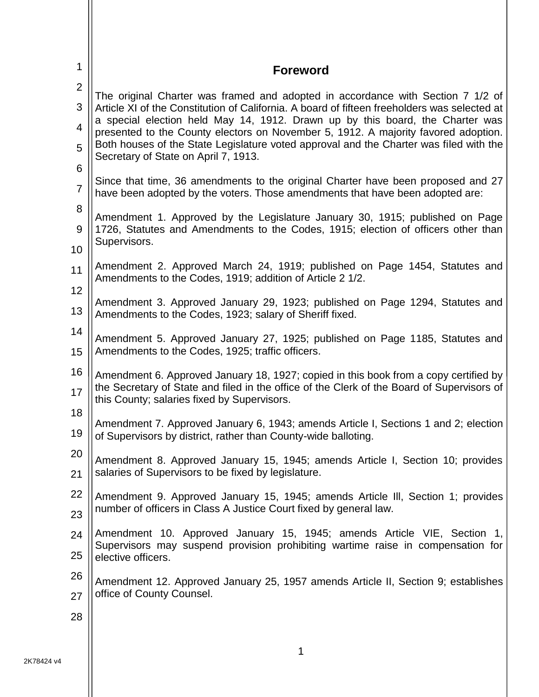<span id="page-3-0"></span>

| 1                             | <b>Foreword</b>                                                                                                                                                                                                                                                                                                                                                                                                                                                                          |
|-------------------------------|------------------------------------------------------------------------------------------------------------------------------------------------------------------------------------------------------------------------------------------------------------------------------------------------------------------------------------------------------------------------------------------------------------------------------------------------------------------------------------------|
| 2<br>3<br>$\overline{4}$<br>5 | The original Charter was framed and adopted in accordance with Section 7 1/2 of<br>Article XI of the Constitution of California. A board of fifteen freeholders was selected at<br>a special election held May 14, 1912. Drawn up by this board, the Charter was<br>presented to the County electors on November 5, 1912. A majority favored adoption.<br>Both houses of the State Legislature voted approval and the Charter was filed with the<br>Secretary of State on April 7, 1913. |
| 6                             | Since that time, 36 amendments to the original Charter have been proposed and 27                                                                                                                                                                                                                                                                                                                                                                                                         |
| $\overline{7}$                | have been adopted by the voters. Those amendments that have been adopted are:                                                                                                                                                                                                                                                                                                                                                                                                            |
| 8                             | Amendment 1. Approved by the Legislature January 30, 1915; published on Page                                                                                                                                                                                                                                                                                                                                                                                                             |
| 9                             | 1726, Statutes and Amendments to the Codes, 1915; election of officers other than                                                                                                                                                                                                                                                                                                                                                                                                        |
| 10                            | Supervisors.                                                                                                                                                                                                                                                                                                                                                                                                                                                                             |
| 11                            | Amendment 2. Approved March 24, 1919; published on Page 1454, Statutes and<br>Amendments to the Codes, 1919; addition of Article 2 1/2.                                                                                                                                                                                                                                                                                                                                                  |
| 12                            | Amendment 3. Approved January 29, 1923; published on Page 1294, Statutes and                                                                                                                                                                                                                                                                                                                                                                                                             |
| 13                            | Amendments to the Codes, 1923; salary of Sheriff fixed.                                                                                                                                                                                                                                                                                                                                                                                                                                  |
| 14                            | Amendment 5. Approved January 27, 1925; published on Page 1185, Statutes and                                                                                                                                                                                                                                                                                                                                                                                                             |
| 15                            | Amendments to the Codes, 1925; traffic officers.                                                                                                                                                                                                                                                                                                                                                                                                                                         |
| 16<br>17                      | Amendment 6. Approved January 18, 1927; copied in this book from a copy certified by<br>the Secretary of State and filed in the office of the Clerk of the Board of Supervisors of<br>this County; salaries fixed by Supervisors.                                                                                                                                                                                                                                                        |
| 18                            | Amendment 7. Approved January 6, 1943; amends Article I, Sections 1 and 2; election                                                                                                                                                                                                                                                                                                                                                                                                      |
| 19                            | of Supervisors by district, rather than County-wide balloting.                                                                                                                                                                                                                                                                                                                                                                                                                           |
| 20                            | Amendment 8. Approved January 15, 1945; amends Article I, Section 10; provides                                                                                                                                                                                                                                                                                                                                                                                                           |
| 21                            | salaries of Supervisors to be fixed by legislature.                                                                                                                                                                                                                                                                                                                                                                                                                                      |
| 22                            | Amendment 9. Approved January 15, 1945; amends Article III, Section 1; provides                                                                                                                                                                                                                                                                                                                                                                                                          |
| 23                            | number of officers in Class A Justice Court fixed by general law.                                                                                                                                                                                                                                                                                                                                                                                                                        |
| 24<br>25                      | Amendment 10. Approved January 15, 1945; amends Article VIE, Section 1,<br>Supervisors may suspend provision prohibiting wartime raise in compensation for<br>elective officers.                                                                                                                                                                                                                                                                                                         |
| 26                            | Amendment 12. Approved January 25, 1957 amends Article II, Section 9; establishes                                                                                                                                                                                                                                                                                                                                                                                                        |
| 27                            | office of County Counsel.                                                                                                                                                                                                                                                                                                                                                                                                                                                                |
| 28                            |                                                                                                                                                                                                                                                                                                                                                                                                                                                                                          |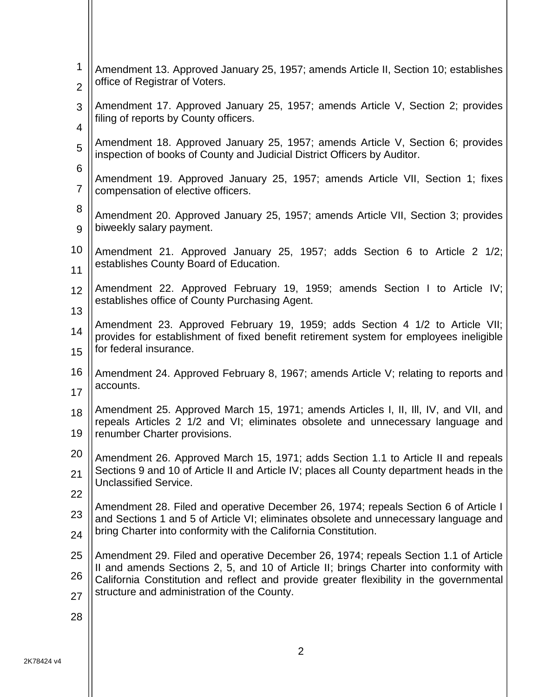| 1                                                | Amendment 13. Approved January 25, 1957; amends Article II, Section 10; establishes                                                                                           |
|--------------------------------------------------|-------------------------------------------------------------------------------------------------------------------------------------------------------------------------------|
| office of Registrar of Voters.<br>$\overline{2}$ |                                                                                                                                                                               |
| 3                                                | Amendment 17. Approved January 25, 1957; amends Article V, Section 2; provides<br>filing of reports by County officers.                                                       |
| 4                                                |                                                                                                                                                                               |
| 5                                                | Amendment 18. Approved January 25, 1957; amends Article V, Section 6; provides<br>inspection of books of County and Judicial District Officers by Auditor.                    |
| 6<br>7                                           | Amendment 19. Approved January 25, 1957; amends Article VII, Section 1; fixes<br>compensation of elective officers.                                                           |
| 8<br>9                                           | Amendment 20. Approved January 25, 1957; amends Article VII, Section 3; provides<br>biweekly salary payment.                                                                  |
| 10                                               | Amendment 21. Approved January 25, 1957; adds Section 6 to Article 2 1/2;                                                                                                     |
| 11                                               | establishes County Board of Education.                                                                                                                                        |
| 12                                               | Amendment 22. Approved February 19, 1959; amends Section I to Article IV;                                                                                                     |
| 13                                               | establishes office of County Purchasing Agent.                                                                                                                                |
| 14                                               | Amendment 23. Approved February 19, 1959; adds Section 4 1/2 to Article VII;<br>provides for establishment of fixed benefit retirement system for employees ineligible        |
| 15                                               | for federal insurance.                                                                                                                                                        |
| 16                                               | Amendment 24. Approved February 8, 1967; amends Article V; relating to reports and<br>accounts.                                                                               |
| 17                                               |                                                                                                                                                                               |
| 18                                               | Amendment 25. Approved March 15, 1971; amends Articles I, II, III, IV, and VII, and<br>repeals Articles 2 1/2 and VI; eliminates obsolete and unnecessary language and        |
| 19                                               | renumber Charter provisions.                                                                                                                                                  |
| 20                                               | Amendment 26. Approved March 15, 1971; adds Section 1.1 to Article II and repeals                                                                                             |
| 21<br>22                                         | Sections 9 and 10 of Article II and Article IV; places all County department heads in the<br><b>Unclassified Service.</b>                                                     |
|                                                  | Amendment 28. Filed and operative December 26, 1974; repeals Section 6 of Article I                                                                                           |
| 23<br>24                                         | and Sections 1 and 5 of Article VI; eliminates obsolete and unnecessary language and<br>bring Charter into conformity with the California Constitution.                       |
| 25                                               |                                                                                                                                                                               |
|                                                  | Amendment 29. Filed and operative December 26, 1974; repeals Section 1.1 of Article<br>II and amends Sections 2, 5, and 10 of Article II; brings Charter into conformity with |
| 26<br>27                                         | California Constitution and reflect and provide greater flexibility in the governmental<br>structure and administration of the County.                                        |
|                                                  |                                                                                                                                                                               |
| 28                                               |                                                                                                                                                                               |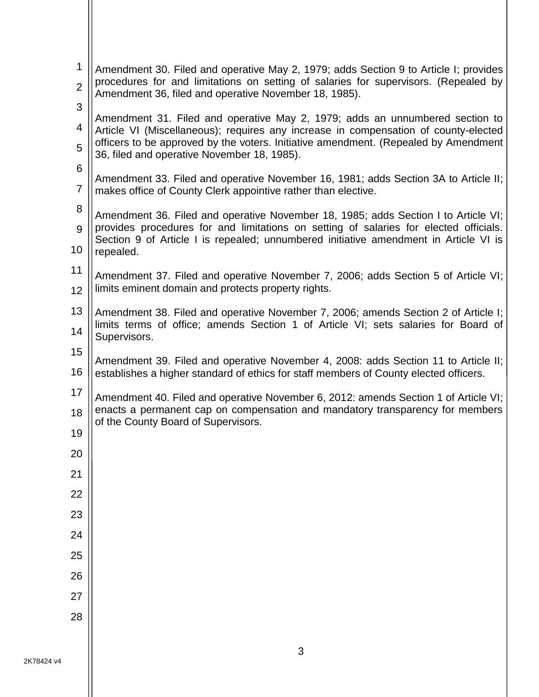| 1<br>$\overline{2}$ | Amendment 30. Filed and operative May 2, 1979; adds Section 9 to Article I; provides<br>procedures for and limitations on setting of salaries for supervisors. (Repealed by |
|---------------------|-----------------------------------------------------------------------------------------------------------------------------------------------------------------------------|
| 3                   | Amendment 36, filed and operative November 18, 1985).                                                                                                                       |
| 4                   | Amendment 31. Filed and operative May 2, 1979; adds an unnumbered section to<br>Article VI (Miscellaneous); requires any increase in compensation of county-elected         |
| 5                   | officers to be approved by the voters. Initiative amendment. (Repealed by Amendment<br>36, filed and operative November 18, 1985).                                          |
| 6                   | Amendment 33. Filed and operative November 16, 1981; adds Section 3A to Article II;                                                                                         |
| $\overline{7}$      | makes office of County Clerk appointive rather than elective.                                                                                                               |
| 8<br>9              | Amendment 36. Filed and operative November 18, 1985; adds Section I to Article VI;<br>provides procedures for and limitations on setting of salaries for elected officials. |
| 10                  | Section 9 of Article I is repealed; unnumbered initiative amendment in Article VI is<br>repealed.                                                                           |
| 11                  | Amendment 37. Filed and operative November 7, 2006; adds Section 5 of Article VI;                                                                                           |
| 12                  | limits eminent domain and protects property rights.                                                                                                                         |
| 13                  | Amendment 38. Filed and operative November 7, 2006; amends Section 2 of Article I;                                                                                          |
| 14                  | limits terms of office; amends Section 1 of Article VI; sets salaries for Board of<br>Supervisors.                                                                          |
| 15                  | Amendment 39. Filed and operative November 4, 2008: adds Section 11 to Article II;                                                                                          |
| 16                  | establishes a higher standard of ethics for staff members of County elected officers.                                                                                       |
| 17                  | Amendment 40. Filed and operative November 6, 2012: amends Section 1 of Article VI;                                                                                         |
| 18                  | enacts a permanent cap on compensation and mandatory transparency for members<br>of the County Board of Supervisors.                                                        |
| 19                  |                                                                                                                                                                             |
| 20                  |                                                                                                                                                                             |
| 21                  |                                                                                                                                                                             |
| 22                  |                                                                                                                                                                             |
| 23                  |                                                                                                                                                                             |
| 24                  |                                                                                                                                                                             |
| 25                  |                                                                                                                                                                             |
| 26                  |                                                                                                                                                                             |
| 27                  |                                                                                                                                                                             |
| 28                  |                                                                                                                                                                             |
|                     |                                                                                                                                                                             |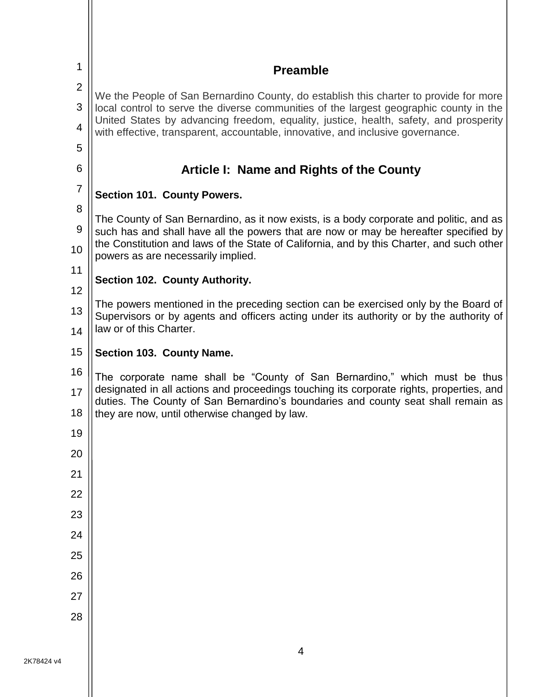<span id="page-6-4"></span><span id="page-6-3"></span><span id="page-6-2"></span><span id="page-6-1"></span><span id="page-6-0"></span>

| 1              | <b>Preamble</b>                                                                                                                                                                 |
|----------------|---------------------------------------------------------------------------------------------------------------------------------------------------------------------------------|
| $\overline{2}$ | We the People of San Bernardino County, do establish this charter to provide for more                                                                                           |
| 3              | local control to serve the diverse communities of the largest geographic county in the<br>United States by advancing freedom, equality, justice, health, safety, and prosperity |
| 4              | with effective, transparent, accountable, innovative, and inclusive governance.                                                                                                 |
| 5<br>6         |                                                                                                                                                                                 |
| $\overline{7}$ | Article I: Name and Rights of the County                                                                                                                                        |
| 8              | Section 101. County Powers.                                                                                                                                                     |
| 9              | The County of San Bernardino, as it now exists, is a body corporate and politic, and as<br>such has and shall have all the powers that are now or may be hereafter specified by |
| 10             | the Constitution and laws of the State of California, and by this Charter, and such other<br>powers as are necessarily implied.                                                 |
| 11<br>12       | Section 102. County Authority.                                                                                                                                                  |
| 13             | The powers mentioned in the preceding section can be exercised only by the Board of<br>Supervisors or by agents and officers acting under its authority or by the authority of  |
| 14             | law or of this Charter.                                                                                                                                                         |
| 15             | Section 103. County Name.                                                                                                                                                       |
| 16             | The corporate name shall be "County of San Bernardino," which must be thus                                                                                                      |
| 17             | designated in all actions and proceedings touching its corporate rights, properties, and<br>duties. The County of San Bernardino's boundaries and county seat shall remain as   |
| 18             | they are now, until otherwise changed by law.                                                                                                                                   |
| 19             |                                                                                                                                                                                 |
| 20<br>21       |                                                                                                                                                                                 |
| 22             |                                                                                                                                                                                 |
| 23             |                                                                                                                                                                                 |
| 24             |                                                                                                                                                                                 |
| 25             |                                                                                                                                                                                 |
| 26             |                                                                                                                                                                                 |
| 27             |                                                                                                                                                                                 |
| 28             |                                                                                                                                                                                 |
|                |                                                                                                                                                                                 |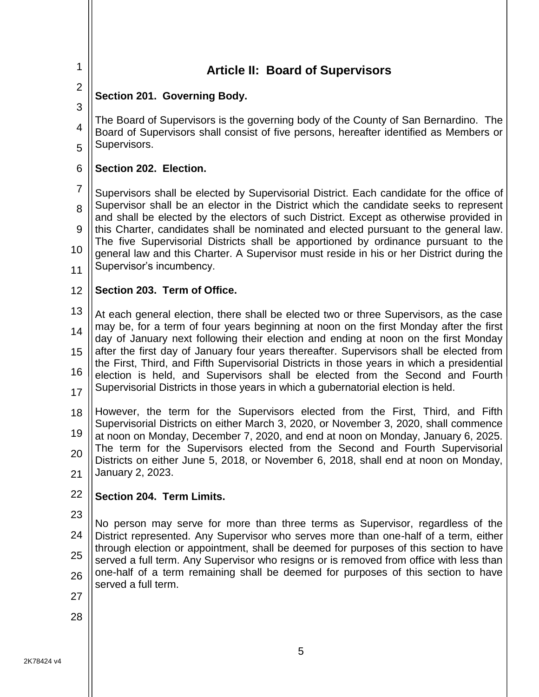<span id="page-7-4"></span><span id="page-7-3"></span><span id="page-7-2"></span><span id="page-7-1"></span><span id="page-7-0"></span>

| $\mathbf 1$             | <b>Article II: Board of Supervisors</b>                                                                                                                                                       |
|-------------------------|-----------------------------------------------------------------------------------------------------------------------------------------------------------------------------------------------|
| $\overline{2}$          | Section 201. Governing Body.                                                                                                                                                                  |
| 3                       |                                                                                                                                                                                               |
| $\overline{\mathbf{4}}$ | The Board of Supervisors is the governing body of the County of San Bernardino. The<br>Board of Supervisors shall consist of five persons, hereafter identified as Members or<br>Supervisors. |
| 5                       |                                                                                                                                                                                               |
| 6                       | Section 202. Election.                                                                                                                                                                        |
| $\overline{7}$          | Supervisors shall be elected by Supervisorial District. Each candidate for the office of                                                                                                      |
| 8                       | Supervisor shall be an elector in the District which the candidate seeks to represent<br>and shall be elected by the electors of such District. Except as otherwise provided in               |
| 9                       | this Charter, candidates shall be nominated and elected pursuant to the general law.                                                                                                          |
| 10                      | The five Supervisorial Districts shall be apportioned by ordinance pursuant to the<br>general law and this Charter. A Supervisor must reside in his or her District during the                |
| 11                      | Supervisor's incumbency.                                                                                                                                                                      |
| 12                      | Section 203. Term of Office.                                                                                                                                                                  |
| 13                      | At each general election, there shall be elected two or three Supervisors, as the case                                                                                                        |
| 14                      | may be, for a term of four years beginning at noon on the first Monday after the first<br>day of January next following their election and ending at noon on the first Monday                 |
| 15                      | after the first day of January four years thereafter. Supervisors shall be elected from                                                                                                       |
| 16                      | the First, Third, and Fifth Supervisorial Districts in those years in which a presidential<br>election is held, and Supervisors shall be elected from the Second and Fourth                   |
| 17                      | Supervisorial Districts in those years in which a gubernatorial election is held.                                                                                                             |
| 18                      | However, the term for the Supervisors elected from the First, Third, and Fifth                                                                                                                |
| 19                      | Supervisorial Districts on either March 3, 2020, or November 3, 2020, shall commence<br>at noon on Monday, December 7, 2020, and end at noon on Monday, January 6, 2025.                      |
| 20                      | The term for the Supervisors elected from the Second and Fourth Supervisorial                                                                                                                 |
| 21                      | Districts on either June 5, 2018, or November 6, 2018, shall end at noon on Monday,<br>January 2, 2023.                                                                                       |
| 22                      | Section 204. Term Limits.                                                                                                                                                                     |
| 23                      |                                                                                                                                                                                               |
| 24                      | No person may serve for more than three terms as Supervisor, regardless of the<br>District represented. Any Supervisor who serves more than one-half of a term, either                        |
| 25                      | through election or appointment, shall be deemed for purposes of this section to have<br>served a full term. Any Supervisor who resigns or is removed from office with less than              |
| 26                      | one-half of a term remaining shall be deemed for purposes of this section to have                                                                                                             |
| 27                      | served a full term.                                                                                                                                                                           |
| 28                      |                                                                                                                                                                                               |
|                         |                                                                                                                                                                                               |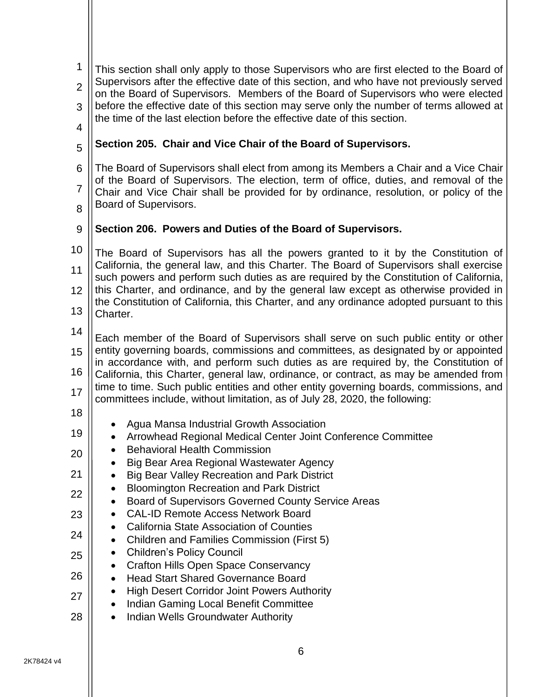<span id="page-8-1"></span><span id="page-8-0"></span>

| 1<br>$\overline{2}$<br>3<br>$\overline{4}$ | This section shall only apply to those Supervisors who are first elected to the Board of<br>Supervisors after the effective date of this section, and who have not previously served<br>on the Board of Supervisors. Members of the Board of Supervisors who were elected<br>before the effective date of this section may serve only the number of terms allowed at<br>the time of the last election before the effective date of this section.                    |
|--------------------------------------------|---------------------------------------------------------------------------------------------------------------------------------------------------------------------------------------------------------------------------------------------------------------------------------------------------------------------------------------------------------------------------------------------------------------------------------------------------------------------|
| 5                                          | Section 205. Chair and Vice Chair of the Board of Supervisors.                                                                                                                                                                                                                                                                                                                                                                                                      |
| 6<br>$\overline{7}$<br>8                   | The Board of Supervisors shall elect from among its Members a Chair and a Vice Chair<br>of the Board of Supervisors. The election, term of office, duties, and removal of the<br>Chair and Vice Chair shall be provided for by ordinance, resolution, or policy of the<br>Board of Supervisors.                                                                                                                                                                     |
| 9                                          | Section 206. Powers and Duties of the Board of Supervisors.                                                                                                                                                                                                                                                                                                                                                                                                         |
| 10<br>11<br>12<br>13                       | The Board of Supervisors has all the powers granted to it by the Constitution of<br>California, the general law, and this Charter. The Board of Supervisors shall exercise<br>such powers and perform such duties as are required by the Constitution of California,<br>this Charter, and ordinance, and by the general law except as otherwise provided in<br>the Constitution of California, this Charter, and any ordinance adopted pursuant to this<br>Charter. |
| 14<br>15<br>16                             | Each member of the Board of Supervisors shall serve on such public entity or other<br>entity governing boards, commissions and committees, as designated by or appointed<br>in accordance with, and perform such duties as are required by, the Constitution of<br>California, this Charter, general law, ordinance, or contract, as may be amended from<br>time to time. Such public entities and other entity governing boards, commissions, and                  |
| 17<br>18                                   | committees include, without limitation, as of July 28, 2020, the following:                                                                                                                                                                                                                                                                                                                                                                                         |
| 19<br>20                                   | Agua Mansa Industrial Growth Association<br>Arrowhead Regional Medical Center Joint Conference Committee<br><b>Behavioral Health Commission</b><br>Big Bear Area Regional Wastewater Agency                                                                                                                                                                                                                                                                         |
| 21<br>22                                   | <b>Big Bear Valley Recreation and Park District</b><br><b>Bloomington Recreation and Park District</b>                                                                                                                                                                                                                                                                                                                                                              |
| 23                                         | Board of Supervisors Governed County Service Areas<br><b>CAL-ID Remote Access Network Board</b>                                                                                                                                                                                                                                                                                                                                                                     |
| 24                                         | <b>California State Association of Counties</b><br>Children and Families Commission (First 5)                                                                                                                                                                                                                                                                                                                                                                       |
| 25<br>26                                   | <b>Children's Policy Council</b><br><b>Crafton Hills Open Space Conservancy</b><br>$\bullet$                                                                                                                                                                                                                                                                                                                                                                        |
| 27                                         | <b>Head Start Shared Governance Board</b><br><b>High Desert Corridor Joint Powers Authority</b><br>Indian Gaming Local Benefit Committee                                                                                                                                                                                                                                                                                                                            |
| 28                                         | <b>Indian Wells Groundwater Authority</b>                                                                                                                                                                                                                                                                                                                                                                                                                           |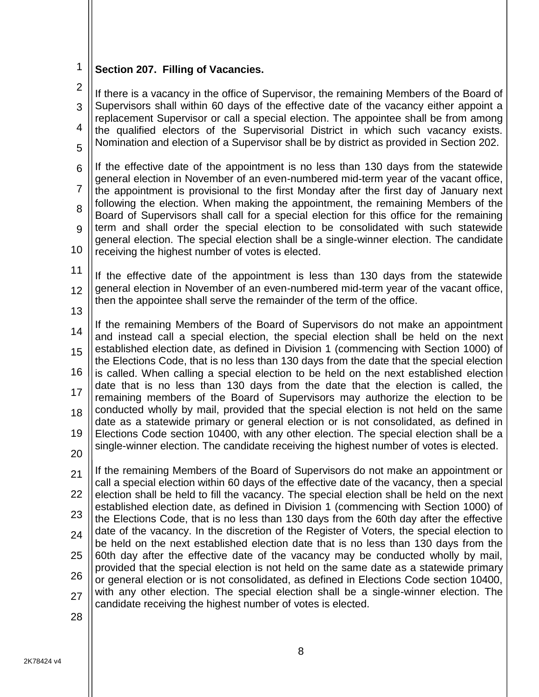<span id="page-10-0"></span>1 **Section 207. Filling of Vacancies.**

2 3 4 5 If there is a vacancy in the office of Supervisor, the remaining Members of the Board of Supervisors shall within 60 days of the effective date of the vacancy either appoint a replacement Supervisor or call a special election. The appointee shall be from among the qualified electors of the Supervisorial District in which such vacancy exists. Nomination and election of a Supervisor shall be by district as provided in Section 202.

6 7 8 9 10 If the effective date of the appointment is no less than 130 days from the statewide general election in November of an even-numbered mid-term year of the vacant office, the appointment is provisional to the first Monday after the first day of January next following the election. When making the appointment, the remaining Members of the Board of Supervisors shall call for a special election for this office for the remaining term and shall order the special election to be consolidated with such statewide general election. The special election shall be a single-winner election. The candidate receiving the highest number of votes is elected.

- 11 12 If the effective date of the appointment is less than 130 days from the statewide general election in November of an even-numbered mid-term year of the vacant office, then the appointee shall serve the remainder of the term of the office.
- 13

14 15 16 17 18 19 If the remaining Members of the Board of Supervisors do not make an appointment and instead call a special election, the special election shall be held on the next established election date, as defined in Division 1 (commencing with Section 1000) of the Elections Code, that is no less than 130 days from the date that the special election is called. When calling a special election to be held on the next established election date that is no less than 130 days from the date that the election is called, the remaining members of the Board of Supervisors may authorize the election to be conducted wholly by mail, provided that the special election is not held on the same date as a statewide primary or general election or is not consolidated, as defined in Elections Code section 10400, with any other election. The special election shall be a single-winner election. The candidate receiving the highest number of votes is elected.

20

21 22 23 24 25 26 27 If the remaining Members of the Board of Supervisors do not make an appointment or call a special election within 60 days of the effective date of the vacancy, then a special election shall be held to fill the vacancy. The special election shall be held on the next established election date, as defined in Division 1 (commencing with Section 1000) of the Elections Code, that is no less than 130 days from the 60th day after the effective date of the vacancy. In the discretion of the Register of Voters, the special election to be held on the next established election date that is no less than 130 days from the 60th day after the effective date of the vacancy may be conducted wholly by mail, provided that the special election is not held on the same date as a statewide primary or general election or is not consolidated, as defined in Elections Code section 10400, with any other election. The special election shall be a single-winner election. The candidate receiving the highest number of votes is elected.

28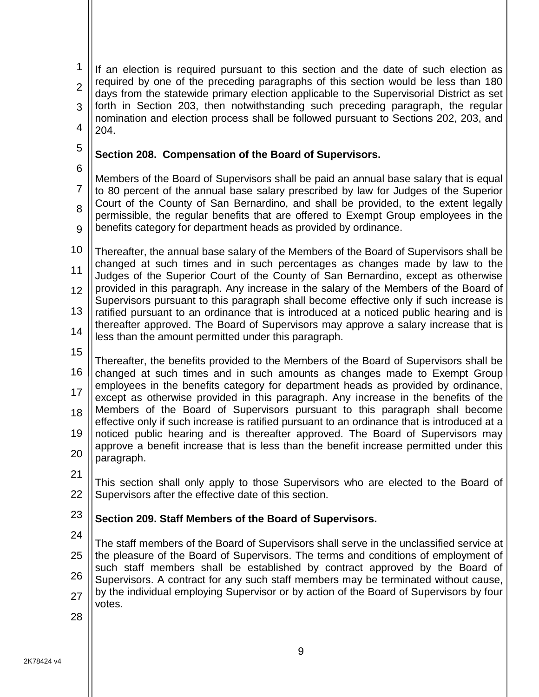1  $\mathfrak{p}$ 3 4 If an election is required pursuant to this section and the date of such election as required by one of the preceding paragraphs of this section would be less than 180 days from the statewide primary election applicable to the Supervisorial District as set forth in Section 203, then notwithstanding such preceding paragraph, the regular nomination and election process shall be followed pursuant to Sections 202, 203, and 204.

5

## <span id="page-11-0"></span>**Section 208. Compensation of the Board of Supervisors.**

6

7 8 9 Members of the Board of Supervisors shall be paid an annual base salary that is equal to 80 percent of the annual base salary prescribed by law for Judges of the Superior Court of the County of San Bernardino, and shall be provided, to the extent legally permissible, the regular benefits that are offered to Exempt Group employees in the benefits category for department heads as provided by ordinance.

10 11 12 13 14 Thereafter, the annual base salary of the Members of the Board of Supervisors shall be changed at such times and in such percentages as changes made by law to the Judges of the Superior Court of the County of San Bernardino, except as otherwise provided in this paragraph. Any increase in the salary of the Members of the Board of Supervisors pursuant to this paragraph shall become effective only if such increase is ratified pursuant to an ordinance that is introduced at a noticed public hearing and is thereafter approved. The Board of Supervisors may approve a salary increase that is less than the amount permitted under this paragraph.

15

16 17 18 19 20 Thereafter, the benefits provided to the Members of the Board of Supervisors shall be changed at such times and in such amounts as changes made to Exempt Group employees in the benefits category for department heads as provided by ordinance, except as otherwise provided in this paragraph. Any increase in the benefits of the Members of the Board of Supervisors pursuant to this paragraph shall become effective only if such increase is ratified pursuant to an ordinance that is introduced at a noticed public hearing and is thereafter approved. The Board of Supervisors may approve a benefit increase that is less than the benefit increase permitted under this paragraph.

21

22

This section shall only apply to those Supervisors who are elected to the Board of Supervisors after the effective date of this section.

### <span id="page-11-1"></span>23 **Section 209. Staff Members of the Board of Supervisors.**

24

25 26 27 The staff members of the Board of Supervisors shall serve in the unclassified service at the pleasure of the Board of Supervisors. The terms and conditions of employment of such staff members shall be established by contract approved by the Board of Supervisors. A contract for any such staff members may be terminated without cause, by the individual employing Supervisor or by action of the Board of Supervisors by four votes.

28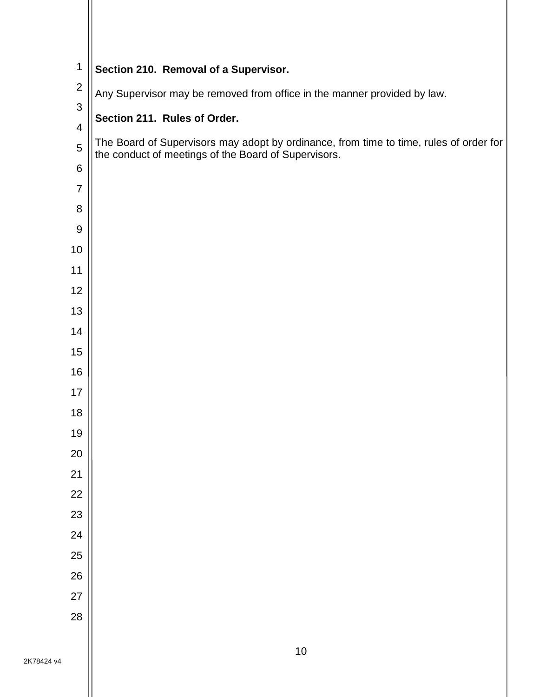<span id="page-12-1"></span><span id="page-12-0"></span>

| $\mathbf 1$    | Section 210. Removal of a Supervisor.                                                  |
|----------------|----------------------------------------------------------------------------------------|
| $\mathbf{2}$   | Any Supervisor may be removed from office in the manner provided by law.               |
| $\mathfrak{S}$ | Section 211. Rules of Order.                                                           |
| 4              | The Board of Supervisors may adopt by ordinance, from time to time, rules of order for |
| $\overline{5}$ | the conduct of meetings of the Board of Supervisors.                                   |
| 6              |                                                                                        |
| $\overline{7}$ |                                                                                        |
| 8              |                                                                                        |
| 9              |                                                                                        |
| 10<br>11       |                                                                                        |
| 12             |                                                                                        |
| 13             |                                                                                        |
| 14             |                                                                                        |
| 15             |                                                                                        |
| 16             |                                                                                        |
| 17             |                                                                                        |
| 18             |                                                                                        |
| 19             |                                                                                        |
| 20             |                                                                                        |
| 21             |                                                                                        |
| 22             |                                                                                        |
| 23             |                                                                                        |
| 24             |                                                                                        |
| 25             |                                                                                        |
| 26             |                                                                                        |
| 27             |                                                                                        |
| 28             |                                                                                        |
|                | 10                                                                                     |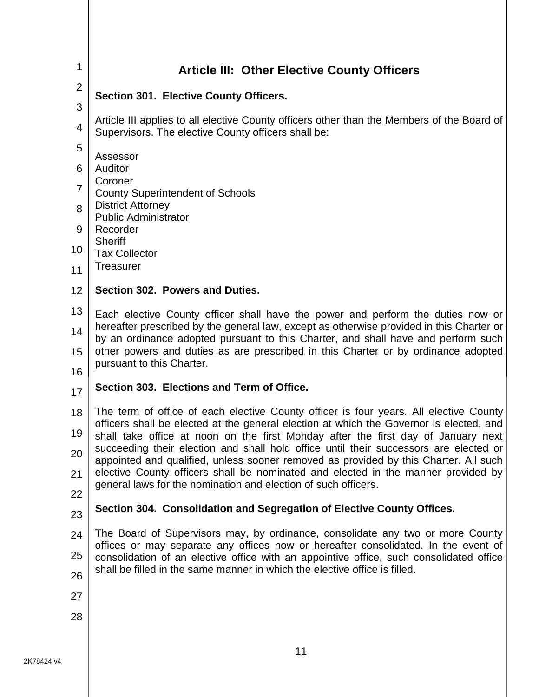<span id="page-13-4"></span><span id="page-13-3"></span><span id="page-13-2"></span><span id="page-13-1"></span><span id="page-13-0"></span>

| 1                   | <b>Article III: Other Elective County Officers</b>                                                                                                                               |
|---------------------|----------------------------------------------------------------------------------------------------------------------------------------------------------------------------------|
| $\overline{2}$      | <b>Section 301. Elective County Officers.</b>                                                                                                                                    |
| 3<br>$\overline{4}$ | Article III applies to all elective County officers other than the Members of the Board of<br>Supervisors. The elective County officers shall be:                                |
| 5                   |                                                                                                                                                                                  |
| 6                   | Assessor<br>Auditor                                                                                                                                                              |
| $\overline{7}$      | Coroner<br><b>County Superintendent of Schools</b>                                                                                                                               |
| 8                   | <b>District Attorney</b>                                                                                                                                                         |
| 9                   | <b>Public Administrator</b><br>Recorder                                                                                                                                          |
| 10                  | <b>Sheriff</b><br><b>Tax Collector</b>                                                                                                                                           |
| 11                  | Treasurer                                                                                                                                                                        |
| 12                  | Section 302. Powers and Duties.                                                                                                                                                  |
| 13                  | Each elective County officer shall have the power and perform the duties now or                                                                                                  |
| 14                  | hereafter prescribed by the general law, except as otherwise provided in this Charter or<br>by an ordinance adopted pursuant to this Charter, and shall have and perform such    |
| 15                  | other powers and duties as are prescribed in this Charter or by ordinance adopted                                                                                                |
| 16                  | pursuant to this Charter.                                                                                                                                                        |
| 17                  | Section 303. Elections and Term of Office.                                                                                                                                       |
| 18                  | The term of office of each elective County officer is four years. All elective County<br>officers shall be elected at the general election at which the Governor is elected, and |
| 19                  | shall take office at noon on the first Monday after the first day of January next                                                                                                |
| 20                  | succeeding their election and shall hold office until their successors are elected or<br>appointed and qualified, unless sooner removed as provided by this Charter. All such    |
| 21                  | elective County officers shall be nominated and elected in the manner provided by<br>general laws for the nomination and election of such officers.                              |
| 22                  |                                                                                                                                                                                  |
| 23                  | Section 304. Consolidation and Segregation of Elective County Offices.                                                                                                           |
| 24                  | The Board of Supervisors may, by ordinance, consolidate any two or more County<br>offices or may separate any offices now or hereafter consolidated. In the event of             |
| 25                  | consolidation of an elective office with an appointive office, such consolidated office                                                                                          |
| 26                  | shall be filled in the same manner in which the elective office is filled.                                                                                                       |
| 27                  |                                                                                                                                                                                  |
| 28                  |                                                                                                                                                                                  |
|                     |                                                                                                                                                                                  |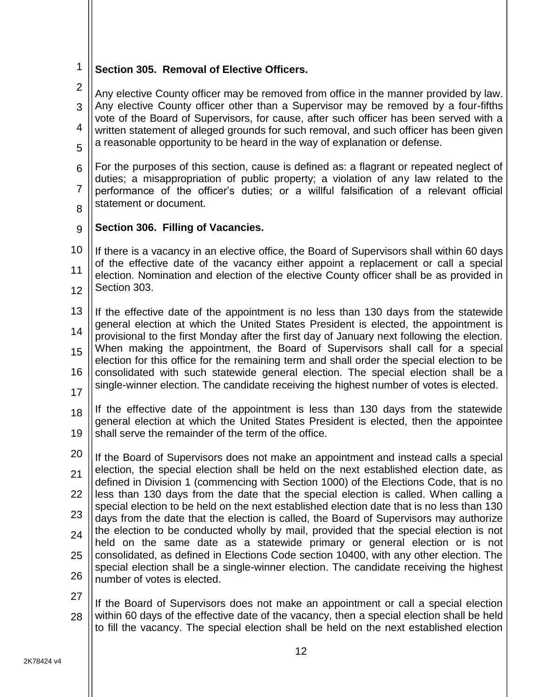<span id="page-14-0"></span>1 **Section 305. Removal of Elective Officers.**

- 2 3 4 5 Any elective County officer may be removed from office in the manner provided by law. Any elective County officer other than a Supervisor may be removed by a four-fifths vote of the Board of Supervisors, for cause, after such officer has been served with a written statement of alleged grounds for such removal, and such officer has been given a reasonable opportunity to be heard in the way of explanation or defense.
- 6 7 8 For the purposes of this section, cause is defined as: a flagrant or repeated neglect of duties; a misappropriation of public property; a violation of any law related to the performance of the officer's duties; or a willful falsification of a relevant official statement or document.
- 

#### <span id="page-14-1"></span> $\mathsf{Q}$ **Section 306. Filling of Vacancies.**

- 10 11 12 If there is a vacancy in an elective office, the Board of Supervisors shall within 60 days of the effective date of the vacancy either appoint a replacement or call a special election. Nomination and election of the elective County officer shall be as provided in Section 303.
- 13 14 15 16 17 If the effective date of the appointment is no less than 130 days from the statewide general election at which the United States President is elected, the appointment is provisional to the first Monday after the first day of January next following the election. When making the appointment, the Board of Supervisors shall call for a special election for this office for the remaining term and shall order the special election to be consolidated with such statewide general election. The special election shall be a single-winner election. The candidate receiving the highest number of votes is elected.
- 18 19 If the effective date of the appointment is less than 130 days from the statewide general election at which the United States President is elected, then the appointee shall serve the remainder of the term of the office.
- 20 21 22 23  $24$ 25 26 If the Board of Supervisors does not make an appointment and instead calls a special election, the special election shall be held on the next established election date, as defined in Division 1 (commencing with Section 1000) of the Elections Code, that is no less than 130 days from the date that the special election is called. When calling a special election to be held on the next established election date that is no less than 130 days from the date that the election is called, the Board of Supervisors may authorize the election to be conducted wholly by mail, provided that the special election is not held on the same date as a statewide primary or general election or is not consolidated, as defined in Elections Code section 10400, with any other election. The special election shall be a single-winner election. The candidate receiving the highest number of votes is elected.
- 27
- 28 If the Board of Supervisors does not make an appointment or call a special election within 60 days of the effective date of the vacancy, then a special election shall be held to fill the vacancy. The special election shall be held on the next established election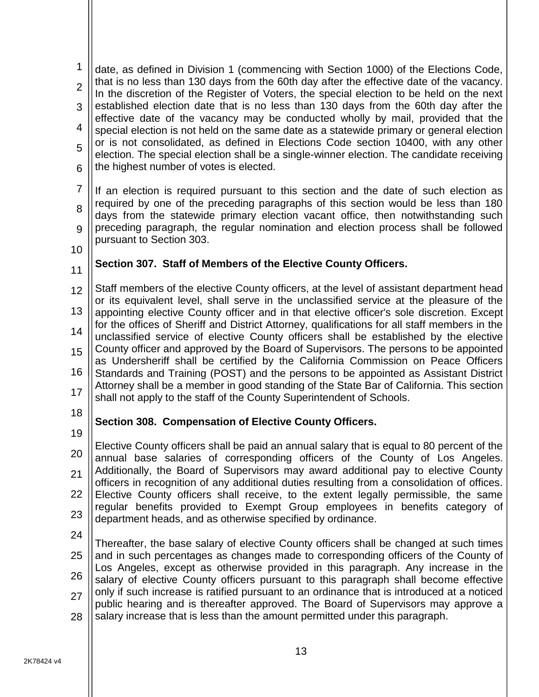1  $\mathfrak{p}$ 3 4 5 6 date, as defined in Division 1 (commencing with Section 1000) of the Elections Code, that is no less than 130 days from the 60th day after the effective date of the vacancy. In the discretion of the Register of Voters, the special election to be held on the next established election date that is no less than 130 days from the 60th day after the effective date of the vacancy may be conducted wholly by mail, provided that the special election is not held on the same date as a statewide primary or general election or is not consolidated, as defined in Elections Code section 10400, with any other election. The special election shall be a single-winner election. The candidate receiving the highest number of votes is elected.

7 8 9 If an election is required pursuant to this section and the date of such election as required by one of the preceding paragraphs of this section would be less than 180 days from the statewide primary election vacant office, then notwithstanding such preceding paragraph, the regular nomination and election process shall be followed pursuant to Section 303.

10

11

### <span id="page-15-0"></span>**Section 307. Staff of Members of the Elective County Officers.**

12 13 14 15 16 17 Staff members of the elective County officers, at the level of assistant department head or its equivalent level, shall serve in the unclassified service at the pleasure of the appointing elective County officer and in that elective officer's sole discretion. Except for the offices of Sheriff and District Attorney, qualifications for all staff members in the unclassified service of elective County officers shall be established by the elective County officer and approved by the Board of Supervisors. The persons to be appointed as Undersheriff shall be certified by the California Commission on Peace Officers Standards and Training (POST) and the persons to be appointed as Assistant District Attorney shall be a member in good standing of the State Bar of California. This section shall not apply to the staff of the County Superintendent of Schools.

18 19

### <span id="page-15-1"></span>**Section 308. Compensation of Elective County Officers.**

- 20 21 22 23 Elective County officers shall be paid an annual salary that is equal to 80 percent of the annual base salaries of corresponding officers of the County of Los Angeles. Additionally, the Board of Supervisors may award additional pay to elective County officers in recognition of any additional duties resulting from a consolidation of offices. Elective County officers shall receive, to the extent legally permissible, the same regular benefits provided to Exempt Group employees in benefits category of department heads, and as otherwise specified by ordinance.
- 24

25 26 27 28 Thereafter, the base salary of elective County officers shall be changed at such times and in such percentages as changes made to corresponding officers of the County of Los Angeles, except as otherwise provided in this paragraph. Any increase in the salary of elective County officers pursuant to this paragraph shall become effective only if such increase is ratified pursuant to an ordinance that is introduced at a noticed public hearing and is thereafter approved. The Board of Supervisors may approve a salary increase that is less than the amount permitted under this paragraph.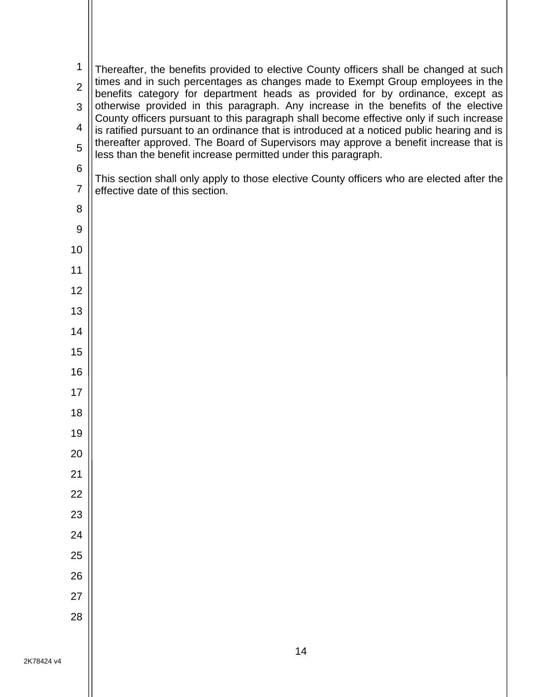| 1              | Thereafter, the benefits provided to elective County officers shall be changed at such                                                                                                |
|----------------|---------------------------------------------------------------------------------------------------------------------------------------------------------------------------------------|
| $\overline{2}$ | times and in such percentages as changes made to Exempt Group employees in the<br>benefits category for department heads as provided for by ordinance, except as                      |
| 3              | otherwise provided in this paragraph. Any increase in the benefits of the elective                                                                                                    |
| 4              | County officers pursuant to this paragraph shall become effective only if such increase<br>is ratified pursuant to an ordinance that is introduced at a noticed public hearing and is |
| 5              | thereafter approved. The Board of Supervisors may approve a benefit increase that is<br>less than the benefit increase permitted under this paragraph.                                |
| 6              |                                                                                                                                                                                       |
| $\overline{7}$ | This section shall only apply to those elective County officers who are elected after the<br>effective date of this section.                                                          |
| 8              |                                                                                                                                                                                       |
| 9              |                                                                                                                                                                                       |
| 10             |                                                                                                                                                                                       |
| 11             |                                                                                                                                                                                       |
| 12             |                                                                                                                                                                                       |
| 13             |                                                                                                                                                                                       |
| 14             |                                                                                                                                                                                       |
| 15             |                                                                                                                                                                                       |
| 16             |                                                                                                                                                                                       |
| 17             |                                                                                                                                                                                       |
| 18             |                                                                                                                                                                                       |
| 19             |                                                                                                                                                                                       |
| 20             |                                                                                                                                                                                       |
| 21             |                                                                                                                                                                                       |
| 22             |                                                                                                                                                                                       |
| 23             |                                                                                                                                                                                       |
| 24             |                                                                                                                                                                                       |
| 25             |                                                                                                                                                                                       |
| 26             |                                                                                                                                                                                       |
| 27             |                                                                                                                                                                                       |
| 28             |                                                                                                                                                                                       |
|                |                                                                                                                                                                                       |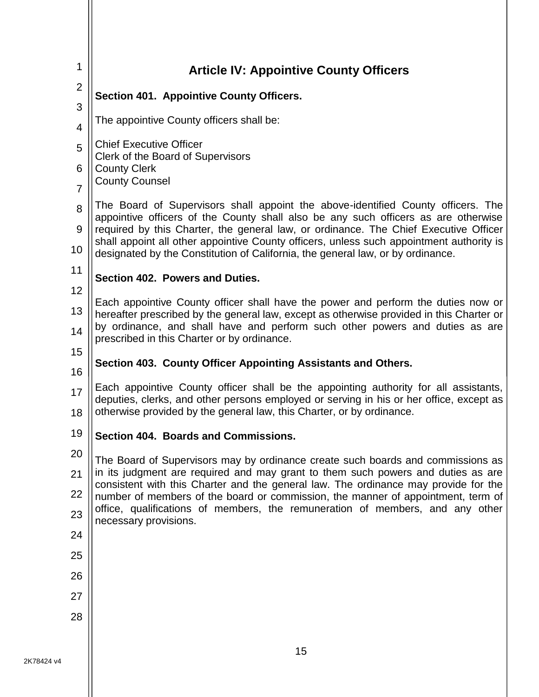<span id="page-17-4"></span><span id="page-17-3"></span><span id="page-17-2"></span><span id="page-17-1"></span><span id="page-17-0"></span>

| 1                                          | <b>Article IV: Appointive County Officers</b>                                                                                                                                                                                                                                                                                                                                                                                                 |  |  |  |  |  |  |  |
|--------------------------------------------|-----------------------------------------------------------------------------------------------------------------------------------------------------------------------------------------------------------------------------------------------------------------------------------------------------------------------------------------------------------------------------------------------------------------------------------------------|--|--|--|--|--|--|--|
| $\overline{2}$                             | Section 401. Appointive County Officers.                                                                                                                                                                                                                                                                                                                                                                                                      |  |  |  |  |  |  |  |
| 3                                          | The appointive County officers shall be:                                                                                                                                                                                                                                                                                                                                                                                                      |  |  |  |  |  |  |  |
| $\overline{4}$<br>5<br>6<br>$\overline{7}$ | <b>Chief Executive Officer</b><br>Clerk of the Board of Supervisors<br><b>County Clerk</b><br><b>County Counsel</b>                                                                                                                                                                                                                                                                                                                           |  |  |  |  |  |  |  |
| 8<br>9<br>10                               | The Board of Supervisors shall appoint the above-identified County officers. The<br>appointive officers of the County shall also be any such officers as are otherwise<br>required by this Charter, the general law, or ordinance. The Chief Executive Officer<br>shall appoint all other appointive County officers, unless such appointment authority is<br>designated by the Constitution of California, the general law, or by ordinance. |  |  |  |  |  |  |  |
| 11                                         | Section 402. Powers and Duties.                                                                                                                                                                                                                                                                                                                                                                                                               |  |  |  |  |  |  |  |
| 12<br>13<br>14                             | Each appointive County officer shall have the power and perform the duties now or<br>hereafter prescribed by the general law, except as otherwise provided in this Charter or<br>by ordinance, and shall have and perform such other powers and duties as are<br>prescribed in this Charter or by ordinance.                                                                                                                                  |  |  |  |  |  |  |  |
| 15                                         | Section 403. County Officer Appointing Assistants and Others.                                                                                                                                                                                                                                                                                                                                                                                 |  |  |  |  |  |  |  |
| 16<br>17<br>18                             | Each appointive County officer shall be the appointing authority for all assistants,<br>deputies, clerks, and other persons employed or serving in his or her office, except as<br>otherwise provided by the general law, this Charter, or by ordinance.                                                                                                                                                                                      |  |  |  |  |  |  |  |
| 19                                         | Section 404. Boards and Commissions                                                                                                                                                                                                                                                                                                                                                                                                           |  |  |  |  |  |  |  |
| 20                                         | The Board of Supervisors may by ordinance create such boards and commissions as                                                                                                                                                                                                                                                                                                                                                               |  |  |  |  |  |  |  |
| 21                                         | in its judgment are required and may grant to them such powers and duties as are<br>consistent with this Charter and the general law. The ordinance may provide for the                                                                                                                                                                                                                                                                       |  |  |  |  |  |  |  |
| 22                                         | number of members of the board or commission, the manner of appointment, term of                                                                                                                                                                                                                                                                                                                                                              |  |  |  |  |  |  |  |
| 23                                         | office, qualifications of members, the remuneration of members, and any other<br>necessary provisions.                                                                                                                                                                                                                                                                                                                                        |  |  |  |  |  |  |  |
| 24                                         |                                                                                                                                                                                                                                                                                                                                                                                                                                               |  |  |  |  |  |  |  |
| 25                                         |                                                                                                                                                                                                                                                                                                                                                                                                                                               |  |  |  |  |  |  |  |
| 26                                         |                                                                                                                                                                                                                                                                                                                                                                                                                                               |  |  |  |  |  |  |  |
| 27                                         |                                                                                                                                                                                                                                                                                                                                                                                                                                               |  |  |  |  |  |  |  |
| 28                                         |                                                                                                                                                                                                                                                                                                                                                                                                                                               |  |  |  |  |  |  |  |
|                                            |                                                                                                                                                                                                                                                                                                                                                                                                                                               |  |  |  |  |  |  |  |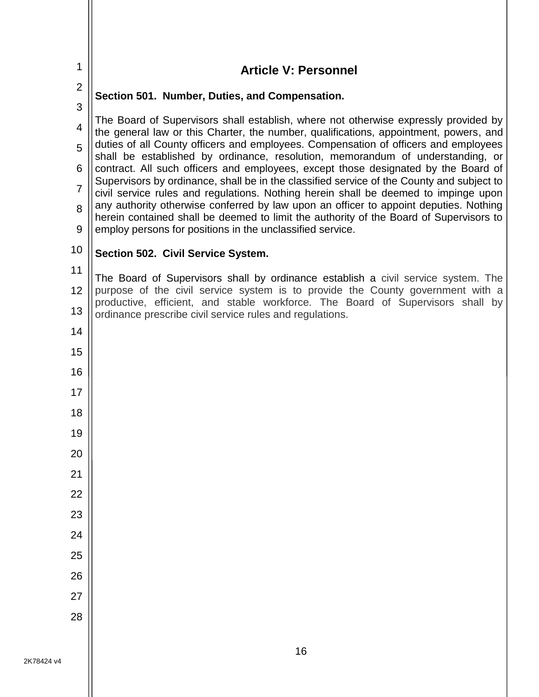<span id="page-18-2"></span><span id="page-18-1"></span><span id="page-18-0"></span>

| 1              | <b>Article V: Personnel</b>                                                                                                                                                     |  |  |  |  |  |  |  |  |
|----------------|---------------------------------------------------------------------------------------------------------------------------------------------------------------------------------|--|--|--|--|--|--|--|--|
| $\overline{2}$ | Section 501. Number, Duties, and Compensation.                                                                                                                                  |  |  |  |  |  |  |  |  |
| 3              | The Board of Supervisors shall establish, where not otherwise expressly provided by                                                                                             |  |  |  |  |  |  |  |  |
| $\overline{4}$ | the general law or this Charter, the number, qualifications, appointment, powers, and                                                                                           |  |  |  |  |  |  |  |  |
| 5              | duties of all County officers and employees. Compensation of officers and employees<br>shall be established by ordinance, resolution, memorandum of understanding, or           |  |  |  |  |  |  |  |  |
| 6              | contract. All such officers and employees, except those designated by the Board of<br>Supervisors by ordinance, shall be in the classified service of the County and subject to |  |  |  |  |  |  |  |  |
| $\overline{7}$ | civil service rules and regulations. Nothing herein shall be deemed to impinge upon<br>any authority otherwise conferred by law upon an officer to appoint deputies. Nothing    |  |  |  |  |  |  |  |  |
| 8<br>9         | herein contained shall be deemed to limit the authority of the Board of Supervisors to<br>employ persons for positions in the unclassified service.                             |  |  |  |  |  |  |  |  |
| 10             | Section 502. Civil Service System.                                                                                                                                              |  |  |  |  |  |  |  |  |
| 11             | The Board of Supervisors shall by ordinance establish a civil service system. The                                                                                               |  |  |  |  |  |  |  |  |
| 12             | purpose of the civil service system is to provide the County government with a                                                                                                  |  |  |  |  |  |  |  |  |
| 13             | productive, efficient, and stable workforce. The Board of Supervisors shall by<br>ordinance prescribe civil service rules and regulations.                                      |  |  |  |  |  |  |  |  |
| 14             |                                                                                                                                                                                 |  |  |  |  |  |  |  |  |
| 15             |                                                                                                                                                                                 |  |  |  |  |  |  |  |  |
| 16             |                                                                                                                                                                                 |  |  |  |  |  |  |  |  |
| 17             |                                                                                                                                                                                 |  |  |  |  |  |  |  |  |
| 18             |                                                                                                                                                                                 |  |  |  |  |  |  |  |  |
| 19             |                                                                                                                                                                                 |  |  |  |  |  |  |  |  |
| 20             |                                                                                                                                                                                 |  |  |  |  |  |  |  |  |
| 21             |                                                                                                                                                                                 |  |  |  |  |  |  |  |  |
| 22             |                                                                                                                                                                                 |  |  |  |  |  |  |  |  |
| 23             |                                                                                                                                                                                 |  |  |  |  |  |  |  |  |
| 24             |                                                                                                                                                                                 |  |  |  |  |  |  |  |  |
| 25<br>26       |                                                                                                                                                                                 |  |  |  |  |  |  |  |  |
| 27             |                                                                                                                                                                                 |  |  |  |  |  |  |  |  |
| 28             |                                                                                                                                                                                 |  |  |  |  |  |  |  |  |
|                |                                                                                                                                                                                 |  |  |  |  |  |  |  |  |

 $\parallel$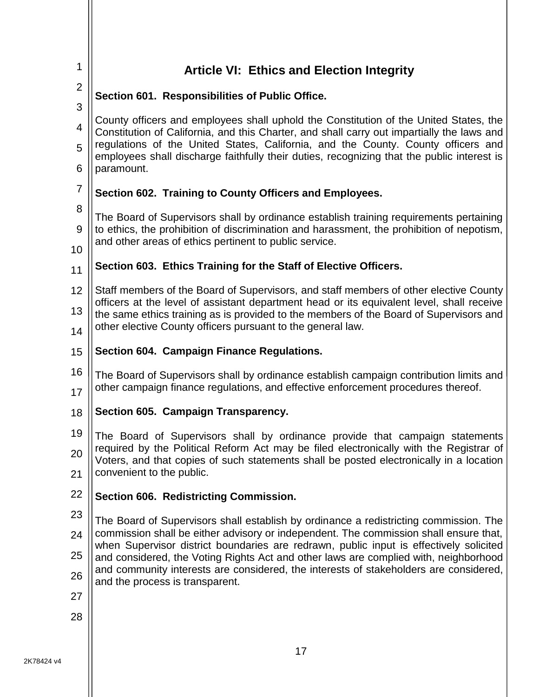<span id="page-19-6"></span><span id="page-19-5"></span><span id="page-19-4"></span><span id="page-19-3"></span><span id="page-19-2"></span><span id="page-19-1"></span><span id="page-19-0"></span>

| 1              | <b>Article VI: Ethics and Election Integrity</b>                                                                                                                                              |  |  |  |  |  |  |
|----------------|-----------------------------------------------------------------------------------------------------------------------------------------------------------------------------------------------|--|--|--|--|--|--|
| $\overline{2}$ | Section 601. Responsibilities of Public Office.                                                                                                                                               |  |  |  |  |  |  |
| 3              | County officers and employees shall uphold the Constitution of the United States, the                                                                                                         |  |  |  |  |  |  |
| $\overline{4}$ | Constitution of California, and this Charter, and shall carry out impartially the laws and                                                                                                    |  |  |  |  |  |  |
| 5<br>6         | regulations of the United States, California, and the County. County officers and<br>employees shall discharge faithfully their duties, recognizing that the public interest is<br>paramount. |  |  |  |  |  |  |
| $\overline{7}$ | Section 602. Training to County Officers and Employees.                                                                                                                                       |  |  |  |  |  |  |
| 8              | The Board of Supervisors shall by ordinance establish training requirements pertaining                                                                                                        |  |  |  |  |  |  |
| 9<br>10        | to ethics, the prohibition of discrimination and harassment, the prohibition of nepotism,<br>and other areas of ethics pertinent to public service.                                           |  |  |  |  |  |  |
| 11             | Section 603. Ethics Training for the Staff of Elective Officers.                                                                                                                              |  |  |  |  |  |  |
| 12             | Staff members of the Board of Supervisors, and staff members of other elective County                                                                                                         |  |  |  |  |  |  |
| 13             | officers at the level of assistant department head or its equivalent level, shall receive<br>the same ethics training as is provided to the members of the Board of Supervisors and           |  |  |  |  |  |  |
| 14             | other elective County officers pursuant to the general law.                                                                                                                                   |  |  |  |  |  |  |
| 15             | <b>Section 604. Campaign Finance Regulations.</b>                                                                                                                                             |  |  |  |  |  |  |
| 16<br>17       | The Board of Supervisors shall by ordinance establish campaign contribution limits and<br>other campaign finance regulations, and effective enforcement procedures thereof.                   |  |  |  |  |  |  |
| 18             | Section 605. Campaign Transparency.                                                                                                                                                           |  |  |  |  |  |  |
| 19             | The Board of Supervisors shall by ordinance provide that campaign statements                                                                                                                  |  |  |  |  |  |  |
| 20             | required by the Political Reform Act may be filed electronically with the Registrar of<br>Voters, and that copies of such statements shall be posted electronically in a location             |  |  |  |  |  |  |
| 21             | convenient to the public.                                                                                                                                                                     |  |  |  |  |  |  |
| 22             | Section 606. Redistricting Commission.                                                                                                                                                        |  |  |  |  |  |  |
| 23             | The Board of Supervisors shall establish by ordinance a redistricting commission. The                                                                                                         |  |  |  |  |  |  |
| 24             | commission shall be either advisory or independent. The commission shall ensure that,<br>when Supervisor district boundaries are redrawn, public input is effectively solicited               |  |  |  |  |  |  |
| 25             | and considered, the Voting Rights Act and other laws are complied with, neighborhood<br>and community interests are considered, the interests of stakeholders are considered,                 |  |  |  |  |  |  |
| 26             | and the process is transparent.                                                                                                                                                               |  |  |  |  |  |  |
| 27             |                                                                                                                                                                                               |  |  |  |  |  |  |
| 28             |                                                                                                                                                                                               |  |  |  |  |  |  |
|                | 17                                                                                                                                                                                            |  |  |  |  |  |  |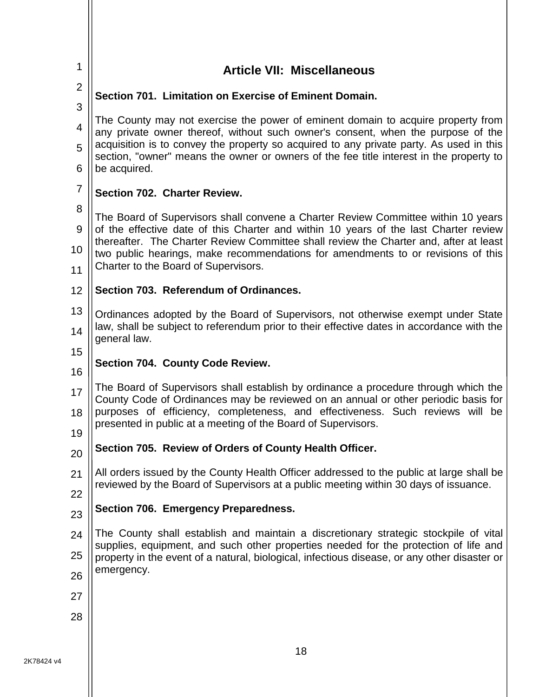<span id="page-20-6"></span><span id="page-20-5"></span><span id="page-20-4"></span><span id="page-20-3"></span><span id="page-20-2"></span><span id="page-20-1"></span><span id="page-20-0"></span>

| 1              | <b>Article VII: Miscellaneous</b>                                                                                                                                                                                                                                                                                                                                          |  |  |  |  |  |  |  |
|----------------|----------------------------------------------------------------------------------------------------------------------------------------------------------------------------------------------------------------------------------------------------------------------------------------------------------------------------------------------------------------------------|--|--|--|--|--|--|--|
| $\overline{2}$ | Section 701. Limitation on Exercise of Eminent Domain.                                                                                                                                                                                                                                                                                                                     |  |  |  |  |  |  |  |
| 3              |                                                                                                                                                                                                                                                                                                                                                                            |  |  |  |  |  |  |  |
| 4              | The County may not exercise the power of eminent domain to acquire property from<br>any private owner thereof, without such owner's consent, when the purpose of the<br>acquisition is to convey the property so acquired to any private party. As used in this<br>section, "owner" means the owner or owners of the fee title interest in the property to<br>be acquired. |  |  |  |  |  |  |  |
| 5<br>6         |                                                                                                                                                                                                                                                                                                                                                                            |  |  |  |  |  |  |  |
| $\overline{7}$ | Section 702. Charter Review.                                                                                                                                                                                                                                                                                                                                               |  |  |  |  |  |  |  |
| 8              |                                                                                                                                                                                                                                                                                                                                                                            |  |  |  |  |  |  |  |
| 9              | The Board of Supervisors shall convene a Charter Review Committee within 10 years<br>of the effective date of this Charter and within 10 years of the last Charter review                                                                                                                                                                                                  |  |  |  |  |  |  |  |
| 10             | thereafter. The Charter Review Committee shall review the Charter and, after at least<br>two public hearings, make recommendations for amendments to or revisions of this                                                                                                                                                                                                  |  |  |  |  |  |  |  |
| 11             | Charter to the Board of Supervisors.                                                                                                                                                                                                                                                                                                                                       |  |  |  |  |  |  |  |
| 12             | Section 703. Referendum of Ordinances.                                                                                                                                                                                                                                                                                                                                     |  |  |  |  |  |  |  |
| 13             | Ordinances adopted by the Board of Supervisors, not otherwise exempt under State                                                                                                                                                                                                                                                                                           |  |  |  |  |  |  |  |
| 14             | law, shall be subject to referendum prior to their effective dates in accordance with the<br>general law.                                                                                                                                                                                                                                                                  |  |  |  |  |  |  |  |
| 15             |                                                                                                                                                                                                                                                                                                                                                                            |  |  |  |  |  |  |  |
| 16             | Section 704. County Code Review.                                                                                                                                                                                                                                                                                                                                           |  |  |  |  |  |  |  |
| 17<br>18       | The Board of Supervisors shall establish by ordinance a procedure through which the<br>County Code of Ordinances may be reviewed on an annual or other periodic basis for<br>purposes of efficiency, completeness, and effectiveness. Such reviews will be                                                                                                                 |  |  |  |  |  |  |  |
|                | presented in public at a meeting of the Board of Supervisors.                                                                                                                                                                                                                                                                                                              |  |  |  |  |  |  |  |
| 19             | Section 705. Review of Orders of County Health Officer.                                                                                                                                                                                                                                                                                                                    |  |  |  |  |  |  |  |
| 20             |                                                                                                                                                                                                                                                                                                                                                                            |  |  |  |  |  |  |  |
| 21             | All orders issued by the County Health Officer addressed to the public at large shall be<br>reviewed by the Board of Supervisors at a public meeting within 30 days of issuance.                                                                                                                                                                                           |  |  |  |  |  |  |  |
| 22             | Section 706. Emergency Preparedness.                                                                                                                                                                                                                                                                                                                                       |  |  |  |  |  |  |  |
| 23             |                                                                                                                                                                                                                                                                                                                                                                            |  |  |  |  |  |  |  |
| 24             | The County shall establish and maintain a discretionary strategic stockpile of vital<br>supplies, equipment, and such other properties needed for the protection of life and                                                                                                                                                                                               |  |  |  |  |  |  |  |
| 25             | property in the event of a natural, biological, infectious disease, or any other disaster or<br>emergency.                                                                                                                                                                                                                                                                 |  |  |  |  |  |  |  |
| 26             |                                                                                                                                                                                                                                                                                                                                                                            |  |  |  |  |  |  |  |
| 27             |                                                                                                                                                                                                                                                                                                                                                                            |  |  |  |  |  |  |  |
| 28             |                                                                                                                                                                                                                                                                                                                                                                            |  |  |  |  |  |  |  |
|                | <b>40</b>                                                                                                                                                                                                                                                                                                                                                                  |  |  |  |  |  |  |  |